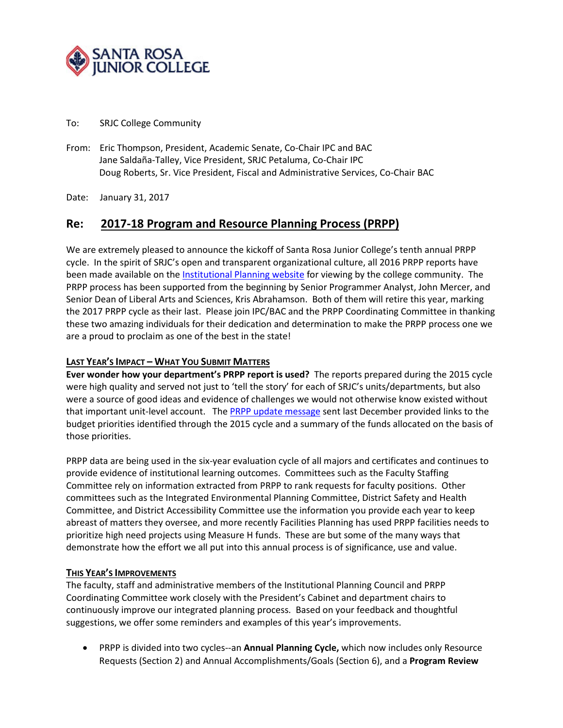

#### To: SRJC College Community

- From: Eric Thompson, President, Academic Senate, Co-Chair IPC and BAC Jane Saldaña-Talley, Vice President, SRJC Petaluma, Co-Chair IPC Doug Roberts, Sr. Vice President, Fiscal and Administrative Services, Co-Chair BAC
- Date: January 31, 2017

# **Re: 2017-18 Program and Resource Planning Process (PRPP)**

We are extremely pleased to announce the kickoff of Santa Rosa Junior College's tenth annual PRPP cycle. In the spirit of SRJC's open and transparent organizational culture, all 2016 PRPP reports have been made available on the [Institutional Planning website](http://planning.santarosa.edu/) for viewing by the college community. The PRPP process has been supported from the beginning by Senior Programmer Analyst, John Mercer, and Senior Dean of Liberal Arts and Sciences, Kris Abrahamson. Both of them will retire this year, marking the 2017 PRPP cycle as their last. Please join IPC/BAC and the PRPP Coordinating Committee in thanking these two amazing individuals for their dedication and determination to make the PRPP process one we are a proud to proclaim as one of the best in the state!

### **LAST YEAR'S IMPACT – WHAT YOU SUBMIT MATTERS**

**Ever wonder how your department's PRPP report is used?** The reports prepared during the 2015 cycle were high quality and served not just to 'tell the story' for each of SRJC's units/departments, but also were a source of good ideas and evidence of challenges we would not otherwise know existed without that important unit-level account. The [PRPP update message](https://planning.santarosa.edu/sites/planning.santarosa.edu/files/2016_PRPP_Wrap_Up.pdf) sent last December provided links to the budget priorities identified through the 2015 cycle and a summary of the funds allocated on the basis of those priorities.

PRPP data are being used in the six-year evaluation cycle of all majors and certificates and continues to provide evidence of institutional learning outcomes. Committees such as the Faculty Staffing Committee rely on information extracted from PRPP to rank requests for faculty positions. Other committees such as the Integrated Environmental Planning Committee, District Safety and Health Committee, and District Accessibility Committee use the information you provide each year to keep abreast of matters they oversee, and more recently Facilities Planning has used PRPP facilities needs to prioritize high need projects using Measure H funds. These are but some of the many ways that demonstrate how the effort we all put into this annual process is of significance, use and value.

#### **THIS YEAR'S IMPROVEMENTS**

The faculty, staff and administrative members of the Institutional Planning Council and PRPP Coordinating Committee work closely with the President's Cabinet and department chairs to continuously improve our integrated planning process. Based on your feedback and thoughtful suggestions, we offer some reminders and examples of this year's improvements.

• PRPP is divided into two cycles--an **Annual Planning Cycle,** which now includes only Resource Requests (Section 2) and Annual Accomplishments/Goals (Section 6), and a **Program Review**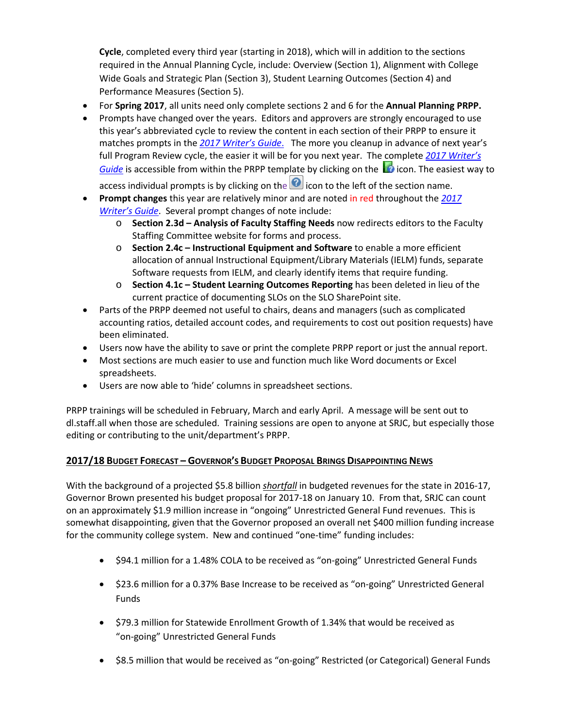**Cycle**, completed every third year (starting in 2018), which will in addition to the sections required in the Annual Planning Cycle, include: Overview (Section 1), Alignment with College Wide Goals and Strategic Plan (Section 3), Student Learning Outcomes (Section 4) and Performance Measures (Section 5).

- For **Spring 2017**, all units need only complete sections 2 and 6 for the **Annual Planning PRPP.**
- Prompts have changed over the years. Editors and approvers are strongly encouraged to use this year's abbreviated cycle to review the content in each section of their PRPP to ensure it matches prompts in the *[2017 Writer's Guide](https://bussharepoint.santarosa.edu/prpp/Current%20Documents/PRPP%20Writer)*. The more you cleanup in advance of next year's full Program Review cycle, the easier it will be for you next year. The complete *[2017 Writer's](https://bussharepoint.santarosa.edu/prpp/Current%20Documents/PRPP%20Writer)  [Guide](https://bussharepoint.santarosa.edu/prpp/Current%20Documents/PRPP%20Writer)* is accessible from within the PRPP template by clicking on the **interpretent on** The easiest way to

access individual prompts is by clicking on the  $\bigcirc$  icon to the left of the section name.

- **Prompt changes** this year are relatively minor and are noted in red throughout the *[2017](https://bussharepoint.santarosa.edu/prpp/Current%20Documents/PRPP%20Writer)  [Writer's Guide](https://bussharepoint.santarosa.edu/prpp/Current%20Documents/PRPP%20Writer)*. Several prompt changes of note include:
	- o **Section 2.3d – Analysis of Faculty Staffing Needs** now redirects editors to the Faculty Staffing Committee website for forms and process.
	- o **Section 2.4c – Instructional Equipment and Software** to enable a more efficient allocation of annual Instructional Equipment/Library Materials (IELM) funds, separate Software requests from IELM, and clearly identify items that require funding.
	- o **Section 4.1c – Student Learning Outcomes Reporting** has been deleted in lieu of the current practice of documenting SLOs on the SLO SharePoint site.
- Parts of the PRPP deemed not useful to chairs, deans and managers (such as complicated accounting ratios, detailed account codes, and requirements to cost out position requests) have been eliminated.
- Users now have the ability to save or print the complete PRPP report or just the annual report.
- Most sections are much easier to use and function much like Word documents or Excel spreadsheets.
- Users are now able to 'hide' columns in spreadsheet sections.

PRPP trainings will be scheduled in February, March and early April. A message will be sent out to dl.staff.all when those are scheduled. Training sessions are open to anyone at SRJC, but especially those editing or contributing to the unit/department's PRPP.

## **2017/18 BUDGET FORECAST – GOVERNOR'S BUDGET PROPOSAL BRINGS DISAPPOINTING NEWS**

With the background of a projected \$5.8 billion *shortfall* in budgeted revenues for the state in 2016-17, Governor Brown presented his budget proposal for 2017-18 on January 10. From that, SRJC can count on an approximately \$1.9 million increase in "ongoing" Unrestricted General Fund revenues. This is somewhat disappointing, given that the Governor proposed an overall net \$400 million funding increase for the community college system. New and continued "one-time" funding includes:

- \$94.1 million for a 1.48% COLA to be received as "on-going" Unrestricted General Funds
- \$23.6 million for a 0.37% Base Increase to be received as "on-going" Unrestricted General Funds
- \$79.3 million for Statewide Enrollment Growth of 1.34% that would be received as "on-going" Unrestricted General Funds
- \$8.5 million that would be received as "on-going" Restricted (or Categorical) General Funds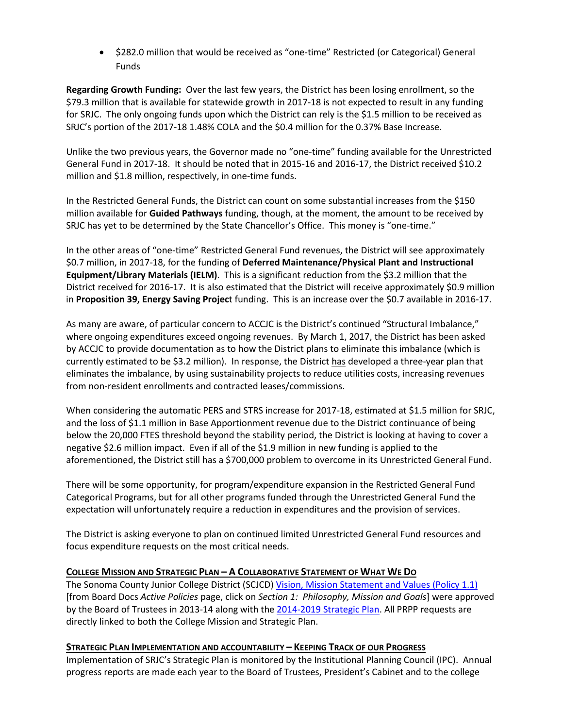• \$282.0 million that would be received as "one-time" Restricted (or Categorical) General Funds

**Regarding Growth Funding:** Over the last few years, the District has been losing enrollment, so the \$79.3 million that is available for statewide growth in 2017-18 is not expected to result in any funding for SRJC. The only ongoing funds upon which the District can rely is the \$1.5 million to be received as SRJC's portion of the 2017-18 1.48% COLA and the \$0.4 million for the 0.37% Base Increase.

Unlike the two previous years, the Governor made no "one-time" funding available for the Unrestricted General Fund in 2017-18. It should be noted that in 2015-16 and 2016-17, the District received \$10.2 million and \$1.8 million, respectively, in one-time funds.

In the Restricted General Funds, the District can count on some substantial increases from the \$150 million available for **Guided Pathways** funding, though, at the moment, the amount to be received by SRJC has yet to be determined by the State Chancellor's Office. This money is "one-time."

In the other areas of "one-time" Restricted General Fund revenues, the District will see approximately \$0.7 million, in 2017-18, for the funding of **Deferred Maintenance/Physical Plant and Instructional Equipment/Library Materials (IELM)**. This is a significant reduction from the \$3.2 million that the District received for 2016-17. It is also estimated that the District will receive approximately \$0.9 million in **Proposition 39, Energy Saving Projec**t funding. This is an increase over the \$0.7 available in 2016-17.

As many are aware, of particular concern to ACCJC is the District's continued "Structural Imbalance," where ongoing expenditures exceed ongoing revenues. By March 1, 2017, the District has been asked by ACCJC to provide documentation as to how the District plans to eliminate this imbalance (which is currently estimated to be \$3.2 million). In response, the District has developed a three-year plan that eliminates the imbalance, by using sustainability projects to reduce utilities costs, increasing revenues from non-resident enrollments and contracted leases/commissions.

When considering the automatic PERS and STRS increase for 2017-18, estimated at \$1.5 million for SRJC, and the loss of \$1.1 million in Base Apportionment revenue due to the District continuance of being below the 20,000 FTES threshold beyond the stability period, the District is looking at having to cover a negative \$2.6 million impact. Even if all of the \$1.9 million in new funding is applied to the aforementioned, the District still has a \$700,000 problem to overcome in its Unrestricted General Fund.

There will be some opportunity, for program/expenditure expansion in the Restricted General Fund Categorical Programs, but for all other programs funded through the Unrestricted General Fund the expectation will unfortunately require a reduction in expenditures and the provision of services.

The District is asking everyone to plan on continued limited Unrestricted General Fund resources and focus expenditure requests on the most critical needs.

## **COLLEGE MISSION AND STRATEGIC PLAN – A COLLABORATIVE STATEMENT OF WHAT WE DO**

The Sonoma County Junior College District (SCJCD) [Vision, Mission Statement and Values](http://www.boarddocs.com/ca/santarosa/Board.nsf/Public?open&id=policies) (Policy 1.1) [from Board Docs *Active Policies* page, click on *Section 1: Philosophy, Mission and Goals*] were approved by the Board of Trustees in 2013-14 along with the [2014-2019 Strategic Plan.](http://strategic-planning.santarosa.edu/) All PRPP requests are directly linked to both the College Mission and Strategic Plan.

#### **STRATEGIC PLAN IMPLEMENTATION AND ACCOUNTABILITY – KEEPING TRACK OF OUR PROGRESS**

Implementation of SRJC's Strategic Plan is monitored by the Institutional Planning Council (IPC). Annual progress reports are made each year to the Board of Trustees, President's Cabinet and to the college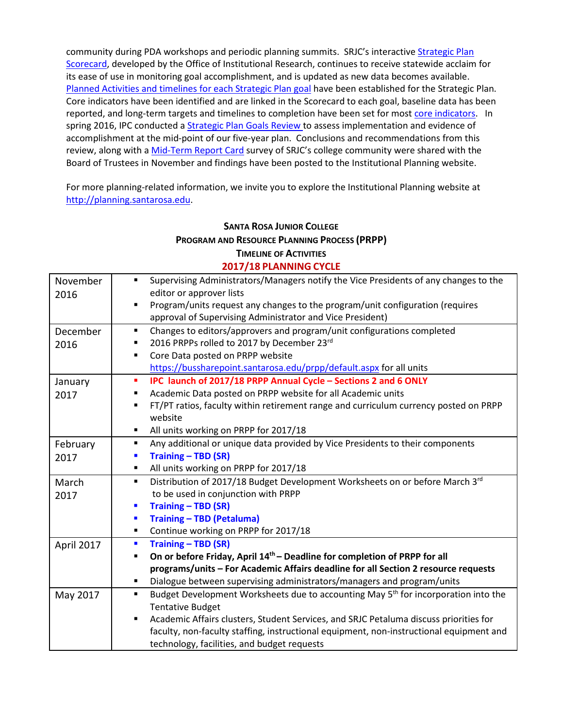community during PDA workshops and periodic planning summits. SRJC's interactive [Strategic Plan](http://strategic-planning.santarosa.edu/)  [Scorecard,](http://strategic-planning.santarosa.edu/) developed by the Office of Institutional Research, continues to receive statewide acclaim for its ease of use in monitoring goal accomplishment, and is updated as new data becomes available. [Planned Activities and timelines for each Strategic Plan goal](http://planning.santarosa.edu/sites/planning.santarosa.edu/files/Strategic%20Plan%20Summary%20of%20Planned%20Activities-Timeline.pdf) have been established for the Strategic Plan. Core indicators have been identified and are linked in the Scorecard to each goal, baseline data has been reported, and long-term targets and timelines to completion have been set for most [core indicators.](http://strategic-planning.santarosa.edu/) In spring 2016, IPC conducted a [Strategic Plan Goals](https://planning.santarosa.edu/sites/planning.santarosa.edu/files/Strategic%20Plan%20Goals%20Review%20-%20Executive%20Summary.pdf) Review to assess implementation and evidence of accomplishment at the mid-point of our five-year plan. Conclusions and recommendations from this review, along with [a Mid-Term Report Card](https://planning.santarosa.edu/sites/planning.santarosa.edu/files/Strategic%20Plan%20Mid-Term%20Report%20-%20Nov%208%202016.pdf) survey of SRJC's college community were shared with the Board of Trustees in November and findings have been posted to the Institutional Planning website.

For more planning-related information, we invite you to explore the Institutional Planning website at [http://planning.santarosa.edu.](http://planning.santarosa.edu/)

# **SANTA ROSA JUNIOR COLLEGE PROGRAM AND RESOURCE PLANNING PROCESS (PRPP) TIMELINE OF ACTIVITIES**

| November   | Supervising Administrators/Managers notify the Vice Presidents of any changes to the                |
|------------|-----------------------------------------------------------------------------------------------------|
| 2016       | editor or approver lists                                                                            |
|            | Program/units request any changes to the program/unit configuration (requires<br>$\blacksquare$     |
|            | approval of Supervising Administrator and Vice President)                                           |
| December   | Changes to editors/approvers and program/unit configurations completed<br>٠                         |
| 2016       | 2016 PRPPs rolled to 2017 by December 23rd<br>٠                                                     |
|            | Core Data posted on PRPP website<br>П                                                               |
|            | https://bussharepoint.santarosa.edu/prpp/default.aspx for all units                                 |
| January    | IPC launch of 2017/18 PRPP Annual Cycle - Sections 2 and 6 ONLY<br>п                                |
| 2017       | Academic Data posted on PRPP website for all Academic units<br>٠                                    |
|            | FT/PT ratios, faculty within retirement range and curriculum currency posted on PRPP<br>٠           |
|            | website                                                                                             |
|            | All units working on PRPP for 2017/18<br>٠                                                          |
| February   | Any additional or unique data provided by Vice Presidents to their components<br>٠                  |
| 2017       | <b>Training - TBD (SR)</b><br>П                                                                     |
|            | All units working on PRPP for 2017/18<br>٠                                                          |
| March      | Distribution of 2017/18 Budget Development Worksheets on or before March 3rd<br>٠                   |
| 2017       | to be used in conjunction with PRPP                                                                 |
|            | Training - TBD (SR)<br>П                                                                            |
|            | <b>Training - TBD (Petaluma)</b><br>F                                                               |
|            | Continue working on PRPP for 2017/18<br>٠                                                           |
| April 2017 | <b>Training - TBD (SR)</b><br>П                                                                     |
|            | On or before Friday, April 14 <sup>th</sup> – Deadline for completion of PRPP for all<br>П          |
|            | programs/units - For Academic Affairs deadline for all Section 2 resource requests                  |
|            | Dialogue between supervising administrators/managers and program/units<br>٠                         |
| May 2017   | Budget Development Worksheets due to accounting May 5 <sup>th</sup> for incorporation into the<br>٠ |
|            | <b>Tentative Budget</b>                                                                             |
|            | Academic Affairs clusters, Student Services, and SRJC Petaluma discuss priorities for<br>٠          |
|            | faculty, non-faculty staffing, instructional equipment, non-instructional equipment and             |
|            | technology, facilities, and budget requests                                                         |

## **2017/18 PLANNING CYCLE**